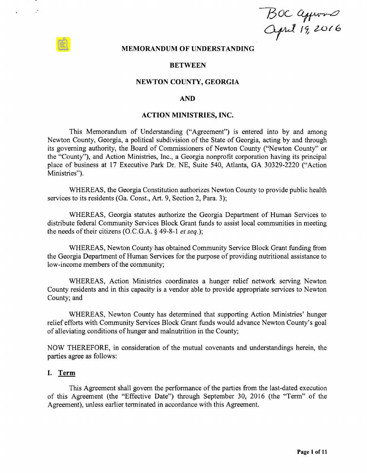$BOCQ$ 

### MEMORANDUM OF UNDERSTANDING

### BETWEEN

### NEWTON COUNTY, GEORGIA

### AND

### ACTION MINISTRIES, INC.

This Memorandum of Understanding (" Agreement") is entered into by and among Newton County, Georgia, a political subdivision of the State of Georgia, acting by and through its governing authority, the Board of Commissioners of Newton County (" Newton County" or the " County"), and Action Ministries, Inc., <sup>a</sup> Georgia nonprofit corporation having its principal place of business at 17 Executive Park Dr. NE, Suite 540, Atlanta, GA 30329-2220 ("Action Ministries").

WHEREAS, the Georgia Constitution authorizes Newton County to provide public health services to its residents (Ga. Const., Art. 9, Section 2, Para. 3);

WHEREAS, Georgia statutes authorize the Georgia Department of Human Services to distribute federal Community Services Block Grant funds to assist local communities in meeting the needs of their citizens (O.C.G.A.  $\S$  49-8-1 et seq.);

WHEREAS, Newton County has obtained Community Service Block Grant funding from the Georgia Department of Human Services for the purpose of providing nutritional assistance to low-income members of the community;

WHEREAS, Action Ministries coordinates <sup>a</sup> hunger relief network serving Newton County residents and in this capacity is <sup>a</sup> vendor able to provide appropriate services to Newton County; and

WHEREAS, Newton County has determined that supporting Action Ministries' hunger relief efforts with Community Services Block Grant funds would advance Newton County's goal of alleviating conditions ofhunger and malnutrition in the County;

NOW THEREFORE, in consideration of the mutual covenants and understandings herein, the parties agree as follows:

### I. Term

 $\mathcal{L}^{\star}$ 

This Agreement shall govern the performance of the parties from the last-dated execution of this Agreement (the "Effective Date") through September 30, 2016 (the "Term" of the Agreement), unless earlier terminated in accordance with this Agreement.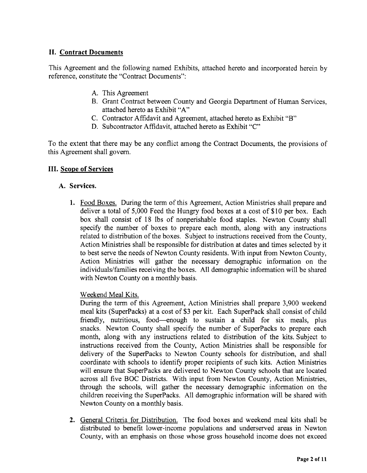# II. Contract Documents

This Agreement and the following named Exhibits, attached hereto and incorporated herein by reference, constitute the "Contract Documents":

- A. This Agreement
- B. Grant Contract between County and Georgia Department of Human Services, attached hereto as Exhibit "A"
- C. Contractor Affidavit and Agreement, attached hereto as Exhibit "B"
- D. Subcontractor Affidavit, attached hereto as Exhibit "C"

To the extent that there may be any conflict among the Contract Documents, the provisions of this Agreement shall govern.

# III. Scope of Services

# A. Services.

1. Food Boxes. During the term of this Agreement, Action Ministries shall prepare and deliver a total of 5,000 Feed the Hungry food boxes at a cost of \$10 per box. Each box shall consist of <sup>18</sup> lbs of nonperishable food staples. Newton County shall specify the number of boxes to prepare each month, along with any instructions related to distribution of the boxes. Subject to instructions received from the County, Action Ministries shall be responsible for distribution at dates and times selected by it to best serve the needs of Newton County residents. With input from Newton County, Action Ministries will gather the necessary demographic information on the individuals/families receiving the boxes. All demographic information will be shared with Newton County on <sup>a</sup> monthly basis.

Weekend Meal Kits.

During the term of this Agreement, Action Ministries shall prepare 3, 900 weekend meal kits (SuperPacks) at a cost of \$3 per kit. Each SuperPack shall consist of child friendly, nutritious, food— enough to sustain <sup>a</sup> child for six meals, plus snacks. Newton County shall specify the number of SuperPacks to prepare each month, along with any instructions related to distribution of the kits. Subject to instructions received from the County, Action Ministries shall be responsible for delivery of the SuperPacks to Newton County schools for distribution, and shall coordinate with schools to identify proper recipients of such kits. Action Ministries will ensure that SuperPacks are delivered to Newton County schools that are located across all five BOC Districts. With input from Newton County, Action Ministries, through the schools, will gather the necessary demographic information on the children receiving the SuperPacks. All demographic information will be shared with Newton County on a monthly basis.

2. General Criteria for Distribution. The food boxes and weekend meal kits shall be distributed to benefit lower-income populations and underserved areas in Newton County, with an emphasis on those whose gross household income does not exceed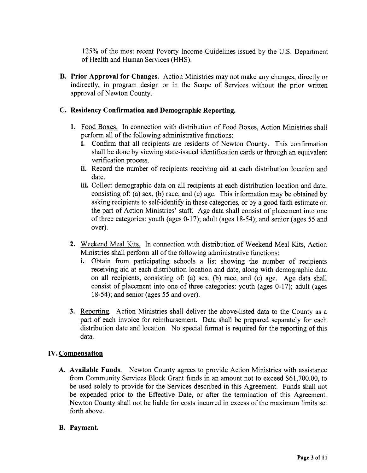125% of the most recent Poverty Income Guidelines issued by the U.S. Department of Health and Human Services (HHS).

B. Prior Approval for Changes. Action Ministries may not make any changes, directly or indirectly, in program design or in the Scope of Services without the prior written approval of Newton County.

# C. Residency Confirmation and Demographic Reporting.

- 1. Food Boxes. In connection with distribution of Food Boxes, Action Ministries shall perform all of the following administrative functions:
	- i. Confirm that all recipients are residents of Newton County. This confirmation shall be done by viewing state-issued identification cards or through an equivalent verification process.
	- ii. Record the number of recipients receiving aid at each distribution location and date.
	- iii. Collect demographic data on all recipients at each distribution location and date, consisting of: (a) sex, (b) race, and (c) age. This information may be obtained by asking recipients to self-identify in these categories, or by a good faith estimate on the part of Action Ministries' staff. Age data shall consist of placement into one of three categories: youth (ages 0-17); adult (ages 18-54); and senior (ages 55 and over).
- 2. Weekend Meal Kits. In connection with distribution of Weekend Meal Kits, Action Ministries shall perform all of the following administrative functions:
	- i. Obtain from participating schools <sup>a</sup> list showing the number of recipients receiving aid at each distribution location and date, along with demographic data on all recipients, consisting of: (a) sex, (b) race, and (c) age. Age data shall consist of placement into one of three categories: youth (ages 0-17); adult (ages  $18-54$ ; and senior (ages 55 and over).
- 3. Reporting. Action Ministries shall deliver the above-listed data to the County as a part of each invoice for reimbursement. Data shall be prepared separately for each distribution date and location. No special format is required for the reporting of this data.

# IV. Compensation

A. Available Funds. Newton County agrees to provide Action Ministries with assistance from Community Services Block Grant funds in an amount not to exceed \$61,700.00, to be used solely to provide for the Services described in this Agreement. Funds shall not be expended prior to the Effective Date, or after the termination of this Agreement. Newton County shall not be liable for costs incurred in excess of the maximum limits set forth above.

### B. Payment.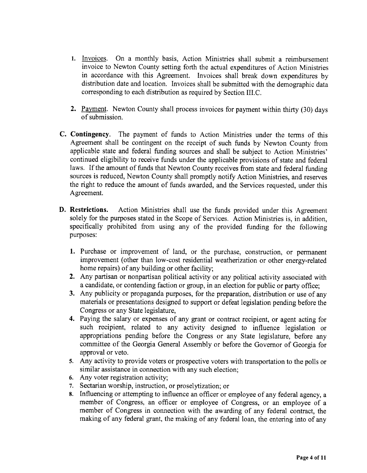- 1. Invoices. On <sup>a</sup> monthly basis, Action Ministries shall submit <sup>a</sup> reimbursement invoice to Newton County setting forth the actual expenditures of Action Ministries in accordance with this Agreement. Invoices shall break down expenditures by distribution date and location. Invoices shall be submitted with the demographic data corresponding to each distribution as required by Section III.C.
- 2. Payment. Newton County shall process invoices for payment within thirty (30) days of submission.
- C. Contingency. The payment of funds to Action Ministries under the terms of this Agreement shall be contingent on the receipt of such funds by Newton County from applicable state and federal funding sources and shall be subject to Action Ministries' continued eligibility to receive funds under the applicable provisions of state and federal laws. If the amount of funds that Newton County receives from state and federal funding sources is reduced, Newton County shall promptly notify Action Ministries, and reserves the right to reduce the amount of funds awarded, and the Services requested, under this Agreement.
- D. Restrictions. Action Ministries shall use the funds provided under this Agreement solely for the purposes stated in the Scope of Services. Action Ministries is, in addition, specifically prohibited from using any of the provided funding for the following purposes:
	- 1. Purchase or improvement of land, or the purchase, construction, or permanent improvement (other than low-cost residential weatherization or other energy-related home repairs) of any building or other facility;
	- 2. Any partisan or nonpartisan political activity or any political activity associated with a candidate, or contending faction or group, in an election for public or party office;
	- 3. Any publicity or propaganda purposes, for the preparation, distribution or use of any materials or presentations designed to support or defeat legislation pending before the Congress or any State legislature,
	- 4. Paying the salary or expenses of any grant or contract recipient, or agent acting for such recipient, related to any activity designed to influence legislation or appropriations pending before the Congress or any State legislature, before any committee of the Georgia General Assembly or before the Governor of Georgia for approval or veto.
	- 5. Any activity to provide voters or prospective voters with transportation to the polls or similar assistance in connection with any such election;
	- 6. Any voter registration activity;
	- 7. Sectarian worship, instruction, or proselytization; or
	- 8. Influencing or attempting to influence an officer or employee of any federal agency, a member of Congress, an officer or employee of Congress, or an employee of <sup>a</sup> member of Congress in connection with the awarding of any federal contract, the making of any federal grant, the making of any federal loan, the entering into of any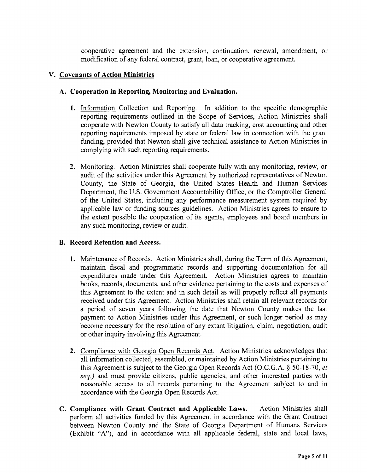cooperative agreement and the extension, continuation, renewal, amendment, or modification of any federal contract, grant, loan, or cooperative agreement.

# V. Covenants of Action Ministries

# A. Cooperation in Reporting, Monitoring and Evaluation.

- 1. Information Collection and Reporting. In addition to the specific demographic reporting requirements outlined in the Scope of Services, Action Ministries shall cooperate with Newton County to satisfy all data tracking, cost accounting and other reporting requirements imposed by state or federal law in connection with the grant funding, provided that Newton shall give technical assistance to Action Ministries in complying with such reporting requirements.
- 2. Monitoring. Action Ministries shall cooperate fully with any monitoring, review, or audit of the activities under this Agreement by authorized representatives of Newton County, the State of Georgia, the United States Health and Human Services Department, the U.S. Government Accountability Office, or the Comptroller General of the United States, including any performance measurement system required by applicable law or funding sources guidelines. Action Ministries agrees to ensure to the extent possible the cooperation of its agents, employees and board members in any such monitoring, review or audit.

### B. Record Retention and Access.

- 1. Maintenance of Records. Action Ministries shall, during the Term of this Agreement, maintain fiscal and programmatic records and supporting documentation for all expenditures made under this Agreement. Action Ministries agrees to maintain books, records, documents, and other evidence pertaining to the costs and expenses of this Agreement to the extent and in such detail as will properly reflect all payments received under this Agreement. Action Ministries shall retain all relevant records for <sup>a</sup> period of seven years following the date that Newton County makes the last payment to Action Ministries under this Agreement, or such longer period as may become necessary for the resolution of any extant litigation, claim, negotiation, audit or other inquiry involving this Agreement.
- 2. Compliance with Georgia Open Records Act. Action Ministries acknowledges that all information collected, assembled, or maintained by Action Ministries pertaining to this Agreement is subject to the Georgia Open Records Act (O.C.G.A.  $\S$  50-18-70, et seq.) and must provide citizens, public agencies, and other interested parties with reasonable access to all records pertaining to the Agreement subject to and in accordance with the Georgia Open Records Act.
- C. Compliance with Grant Contract and Applicable Laws. Action Ministries shall perform all activities funded by this Agreement in accordance with the Grant Contract between Newton County and the State of Georgia Department of Humans Services Exhibit "A"), and in accordance with all applicable federal, state and local laws,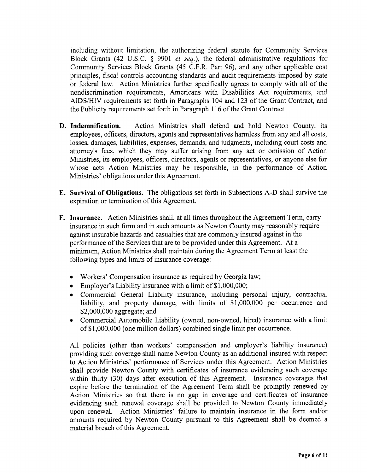including without limitation, the authorizing federal statute for Community Services Block Grants (42 U.S.C.  $\S$  9901 *et seq.*), the federal administrative regulations for Community Services Block Grants (45 C.F.R. Part 96), and any other applicable cost principles, fiscal controls accounting standards and audit requirements imposed by state or federal law. Action Ministries further specifically agrees to comply with all of the nondiscrimination requirements, Americans with Disabilities Act requirements, and AIDS/HIV requirements set forth in Paragraphs 104 and <sup>123</sup> of the Grant Contract, and the Publicity requirements set forth in Paragraph 116 of the Grant Contract.

- D. Indemnification. Action Ministries shall defend and hold Newton County, its employees, officers, directors, agents and representatives harmless from any and all costs, losses, damages, liabilities, expenses, demands, and judgments, including court costs and attorney's fees, which they may suffer arising from any act or omission of Action Ministries, its employees, officers, directors, agents or representatives, or anyone else for whose acts Action Ministries may be responsible, in the performance of Action Ministries' obligations under this Agreement.
- E. Survival of Obligations. The obligations set forth in Subsections A-D shall survive the expiration or termination of this Agreement.
- F. Insurance. Action Ministries shall, at all times throughout the Agreement Term, carry insurance in such form and in such amounts as Newton County may reasonably require against insurable hazards and casualties that are commonly insured against in the performance of the Services that are to be provided under this Agreement. At <sup>a</sup> minimum, Action Ministries shall maintain during the Agreement Term at least the following types and limits of insurance coverage:
	- Workers' Compensation insurance as required by Georgia law;
	- $\bullet$  Employer's Liability insurance with a limit of \$1,000,000;
	- Commercial General Liability insurance, including personal injury, contractual liability, and property damage, with limits of \$1,000,000 per occurrence and 2, 000,000 aggregate; and
	- Commercial Automobile Liability (owned, non-owned, hired) insurance with <sup>a</sup> limit of\$ 1, 000,000 ( one million dollars) combined single limit per occurrence.

All policies (other than workers' compensation and employer's liability insurance) providing such coverage shall name Newton County as an additional insured with respect to Action Ministries' performance of Services under this Agreement. Action Ministries shall provide Newton County with certificates of insurance evidencing such coverage within thirty (30) days after execution of this Agreement. Insurance coverages that expire before the termination of the Agreement Term shall be promptly renewed by Action Ministries so that there is no gap in coverage and certificates of insurance evidencing such renewal coverage shall be provided to Newton County immediately upon renewal. Action Ministries' failure to maintain insurance in the form and/or amounts required by Newton County pursuant to this Agreement shall be deemed a material breach of this Agreement.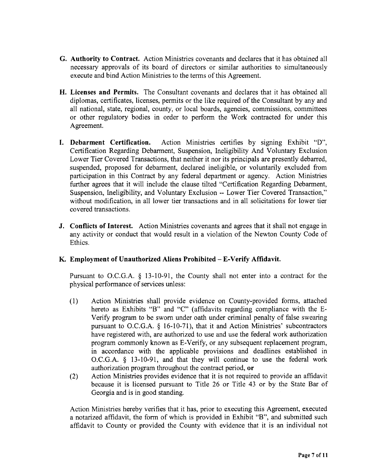- G. Authority to Contract. Action Ministries covenants and declares that it has obtained all necessary approvals of its board of directors or similar authorities to simultaneously execute and bind Action Ministries to the terms of this Agreement.
- H. Licenses and Permits. The Consultant covenants and declares that it has obtained all diplomas, certificates, licenses, permits or the like required of the Consultant by any and all national, state, regional, county, or local boards, agencies, commissions, committees or other regulatory bodies in order to perform the Work contracted for under this Agreement.
- I. Debarment Certification. Action Ministries certifies by signing Exhibit "D", Certification Regarding Debarment, Suspension, Ineligibility And Voluntary Exclusion Lower Tier Covered Transactions, that neither it nor its principals are presently debarred, suspended, proposed for debarment, declared ineligible, or voluntarily excluded from participation in this Contract by any federal department or agency. Action Ministries further agrees that it will include the clause tilted "Certification Regarding Debarment, Suspension, Ineligibility, and Voluntary Exclusion -- Lower Tier Covered Transaction," without modification, in all lower tier transactions and in all solicitations for lower tier covered transactions.
- J. Conflicts of Interest. Action Ministries covenants and agrees that it shall not engage in any activity or conduct that would result in <sup>a</sup> violation of the Newton County Code of Ethics.

# K. Employment of Unauthorized Aliens Prohibited—E-Verify Affidavit.

Pursuant to O.C.G.A.  $\S$  13-10-91, the County shall not enter into a contract for the physical performance of services unless:

- 1) Action Ministries shall provide evidence on County-provided forms, attached hereto as Exhibits "B" and "C" (affidavits regarding compliance with the E-Verify program to be sworn under oath under criminal penalty of false swearing pursuant to O.C.G.A.  $\S$  16-10-71), that it and Action Ministries' subcontractors have registered with, are authorized to use and use the federal work authorization program commonly known as E- Verify, or any subsequent replacement program, in accordance with the applicable provisions and deadlines established in O.C.G.A. § 13-10-91, and that they will continue to use the federal work authorization program throughout the contract period, or
- 2) Action Ministries provides evidence that it is not required to provide an affidavit because it is licensed pursuant to Title 26 or Title 43 or by the State Bar of Georgia and is in good standing.

Action Ministries hereby verifies that it has, prior to executing this Agreement, executed a notarized affidavit, the form of which is provided in Exhibit "B", and submitted such affidavit to County or provided the County with evidence that it is an individual not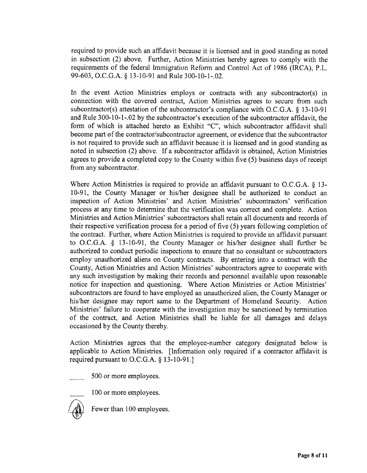required to provide such an affidavit because it is licensed and in good standing as noted in subsection  $(2)$  above. Further, Action Ministries hereby agrees to comply with the requirements of the federal Immigration Reform and Control Act of 1986 (IRCA), P.L. 99-603, O.C.G.A. § 13-10-91 and Rule 300-10-1-.02.

In the event Action Ministries employs or contracts with any subcontractor(s) in connection with the covered contract, Action Ministries agrees to secure from such subcontractor(s) attestation of the subcontractor's compliance with O.C.G.A.  $\S$  13-10-91 and Rule 300-10-1-.02 by the subcontractor's execution of the subcontractor affidavit, the form of which is attached hereto as Exhibit "C", which subcontractor affidavit shall become part of the contractor/subcontractor agreement, or evidence that the subcontractor is not required to provide such an affidavit because it is licensed and in good standing as noted in subsection (2) above. If a subcontractor affidavit is obtained, Action Ministries agrees to provide a completed copy to the County within five (5) business days of receipt from any subcontractor.

Where Action Ministries is required to provide an affidavit pursuant to O.C.G.A. § 13-10-91, the County Manager or his/her designee shall be authorized to conduct an inspection of Action Ministries' and Action Ministries' subcontractors' verification process at any time to determine that the verification was correct and complete. Action Ministries and Action Ministries' subcontractors shall retain all documents and records of their respective verification process for <sup>a</sup> period of five (5) years following completion of the contract. Further, where Action Ministries is required to provide an affidavit pursuant to O.C.G.A.  $\S$  13-10-91, the County Manager or his/her designee shall further be authorized to conduct periodic inspections to ensure that no consultant or subcontractors employ unauthorized aliens on County contracts. By entering into <sup>a</sup> contract with the County, Action Ministries and Action Ministries' subcontractors agree to cooperate with any such investigation by making their records and personnel available upon reasonable notice for inspection and questioning. Where Action Ministries or Action Ministries' subcontractors are found to have employed an unauthorized alien, the County Manager or his/her designee may report same to the Department of Homeland Security. Action Ministries' failure to cooperate with the investigation may be sanctioned by termination of the contract, and Action Ministries shall be liable for all damages and delays occasioned by the County thereby.

Action Ministries agrees that the employee-number category designated below is applicable to Action Ministries. [ Information only required if <sup>a</sup> contractor affidavit is required pursuant to O.C.G.A.  $§$  13-10-91.]

500 or more employees.

100 or more employees.



Fewer than 100 employees.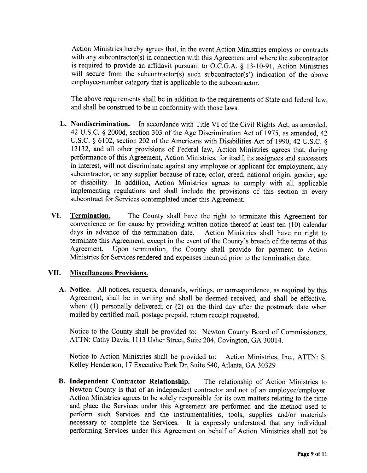Action Ministries hereby agrees that, in the event Action Ministries employs or contracts with any subcontractor(s) in connection with this Agreement and where the subcontractor is required to provide an affidavit pursuant to O.C.G.A.  $\S$  13-10-91, Action Ministries will secure from the subcontractor(s) such subcontractor(s') indication of the above employee-number category that is applicable to the subcontractor.

The above requirements shall be in addition to the requirements of State and federal law, and shall be construed to be in conformity with those laws.

- L. Nondiscrimination. In accordance with Title VI of the Civil Rights Act, as amended, 42 U.S. C. § 2000d, section 303 of the Age Discrimination Act of 1975, as amended, 42 U.S.C. § 6102, section 202 of the Americans with Disabilities Act of 1990, 42 U.S.C. § 12132, and all other provisions of Federal law, Action Ministries agrees that, during performance of this Agreement, Action Ministries, for itself, its assignees and successors in interest, will not discriminate against any employee or applicant for employment, any subcontractor, or any supplier because of race, color, creed, national origin, gender, age or disability. In addition, Action Ministries agrees to comply with all applicable implementing regulations and shall include the provisions of this section in every subcontract for Services contemplated under this Agreement.
- VI. Termination. The County shall have the right to terminate this Agreement for convenience or for cause by providing written notice thereof at least ten (10) calendar days in advance of the termination date. Action Ministries shall have no right to terminate this Agreement, except in the event of the County's breach of the terms of this<br>Agreement. Upon termination, the County shall provide for payment to Action Upon termination, the County shall provide for payment to Action Ministries for Services rendered and expenses incurred prior to the termination date.

### VII. Miscellaneous Provisions.

A. Notice. All notices, requests, demands, writings, or correspondence, as required by this Agreement, shall be in writing and shall be deemed received, and shall be effective, when:  $(1)$  personally delivered; or  $(2)$  on the third day after the postmark date when mailed by certified mail, postage prepaid, return receipt requested.

Notice to the County shall be provided to: Newton County Board of Commissioners, ATTN: Cathy Davis, 1113 Usher Street, Suite 204, Covington, GA 30014.

Notice to Action Ministries shall be provided to: Action Ministries, Inc., ATTN: S. Kelley Henderson, 17 Executive Park Dr, Suite 540, Atlanta, GA 30329

B. Independent Contractor Relationship. The relationship of Action Ministries to Newton County is that of an independent contractor and not of an employee/employer. Action Ministries agrees to be solely responsible for its own matters relating to the time and place the Services under this Agreement are performed and the method used to perform such Services and the instrumentalities, tools, supplies and/or materials necessary to complete the Services. It is expressly understood that any individual performing Services under this Agreement on behalf of Action Ministries shall not be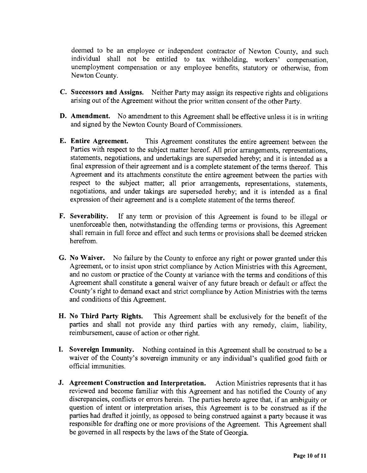deemed to be an employee or independent contractor of Newton County, and such individual shall not be entitled to tax withholding, workers' compensation, unemployment compensation or any employee benefits, statutory or otherwise, from Newton County.

- C. Successors and Assigns. Neither Party may assign its respective rights and obligations arising out of the Agreement without the prior written consent of the other Party.
- **D.** Amendment. No amendment to this Agreement shall be effective unless it is in writing and signed by the Newton County Board of Commissioners.
- E. Entire Agreement. This Agreement constitutes the entire agreement between the Parties with respect to the subject matter hereof. All prior arrangements, representations, statements, negotiations, and undertakings are superseded hereby; and it is intended as <sup>a</sup> final expression of their agreement and is <sup>a</sup> complete statement of the terms thereof. This Agreement and its attachments constitute the entire agreement between the parties with respect to the subject matter; all prior arrangements, representations, statements, negotiations, and under takings are superseded hereby; and it is intended as a final expression of their agreement and is <sup>a</sup> complete statement of the terms thereof.
- F. Severability. If any term or provision of this Agreement is found to be illegal or unenforceable then, notwithstanding the offending terms or provisions, this Agreement shall remain in full force and effect and such terms or provisions shall be deemed stricken herefrom.
- G. No Waiver. No failure by the County to enforce any right or power granted under this Agreement, or to insist upon strict compliance by Action Ministries with this Agreement, and no custom or practice of the County at variance with the terms and conditions of this Agreement shall constitute <sup>a</sup> general waiver of any future breach or default or affect the County's right to demand exact and strict compliance by Action Ministries with the terms and conditions of this Agreement.
- H. No Third Party Rights. This Agreement shall be exclusively for the benefit of the parties and shall not provide any third parties with any remedy, claim, liability, reimbursement, cause of action or other right.
- I. Sovereign Immunity. Nothing contained in this Agreement shall be construed to be <sup>a</sup> waiver of the County's sovereign immunity or any individual's qualified good faith or official immunities.
- J. Agreement Construction and Interpretation. Action Ministries represents that it has reviewed and become familiar with this Agreement and has notified the County of any discrepancies, conflicts or errors herein. The parties hereto agree that, if an ambiguity or question of intent or interpretation arises, this Agreement is to be construed as if the parties had drafted it jointly, as opposed to being construed against <sup>a</sup> party because it was responsible for drafting one or more provisions of the Agreement. This Agreement shall be governed in all respects by the laws of the State of Georgia.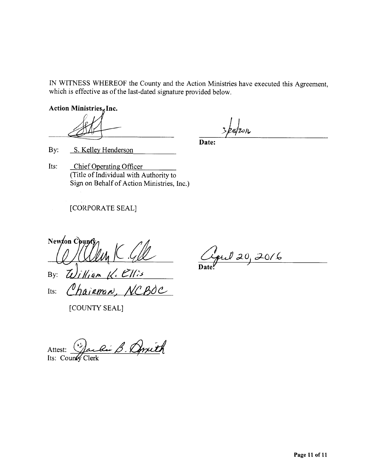IN WITNESS WHEREOF the County and the Action Ministries have executed this Agreement, which is effective as of the last-dated signature provided below.

Action Ministries, Inc.

 $28/20$ 

Date:

By: S. Kelley Henderson

Its: Chief Operating Officer Title of Individual with Authority to Sign on Behalf of Action Ministries, Inc.)

# CORPORATE SEAL]

New ton Coun By:  $\omega_i$  Hiam K. Ellis Its: Chairman, NCBOC

[COUNTY SEAL]

ful 20, 2016 Date.

Attest: J Attest: Jackie B. Qwith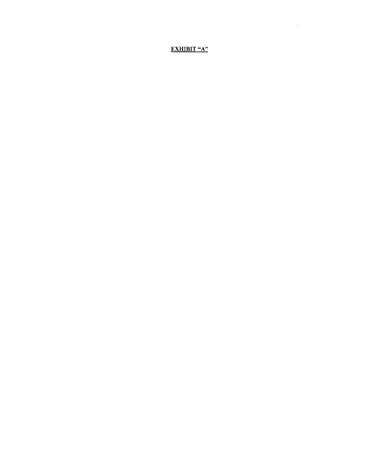EXHIBIT "A"

 $\sim 10^{-10}$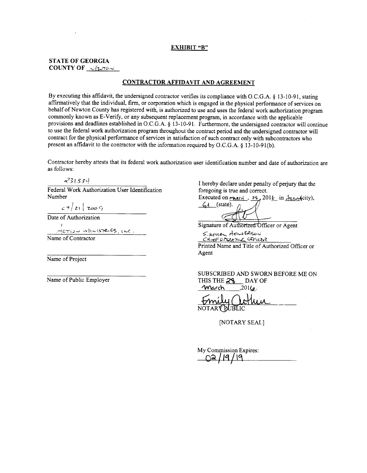#### EXHIBIT "B"

### STATE OF GEORGIA COUNTY OF  $\sim$   $\epsilon \sim \infty$

#### CONTRACTOR AFFIDAVIT AND AGREEMENT

By executing this affidavit, the undersigned contractor verifies its compliance with O.C.G.A. § 13-10-91, stating affirmatively that the individual, firm, or corporation which is engaged in the physical performance of services on behalf of Newton County has registered with, is authorized to use and uses the federal work authorization program commonly known as E- Verify, or any subsequent replacement program, in accordance with the applicable provisions and deadlines established in O.C.G.A. § 13-10-91. Furthermore, the undersigned contractor will continue to use the federal work authorization program throughout the contract period and the undersigned contractor will contract for the physical performance of services in satisfaction of such contract only with subcontractors who present an affidavit to the contractor with the information required by O.C.G.A. § 13-10-91(b).

Contractor hereby attests that its federal work authorization user identification number and date of authorization are as follows:

Federal Work Authorization User Identification<br>Number

 $c7$  21  $z$   $\in$   $q$ 

Date of Authorization

 $H_{\text{CFT12}}$  with  $\text{STE1}\text{S}_{11}$  and  $\text{C}$ . Name of Contractor

Name of Project

 $\frac{31.334}{1}$  I hereby declare under penalty of perjury that the I work Authorization User Identification foregoing is true and correct.

Executed on  $\frac{\mu_{\text{RCA}}}{\Lambda}$ ,  $\frac{26}{\Lambda}$ ,  $2016$  in  $\frac{\mu_{\text{RCA}}}{\Lambda}$  (state),  $\frac{\mu_{\text{RCA}}}{\Lambda}$ 

Signature of Authorized Officer or Agent

S. keuen Heustre  $CHIEFORX$   $CFICB$ Printed Name and Title of Authorized Officer or Agent

SUBSCRIBED AND SWORN BEFORE ME ON Name of Public Employer THIS THE 28 DAY OF  $4$ March  $201$ 

NOTARY PUBLIC

NOTARY SEAL]

My Commission Expires: 1191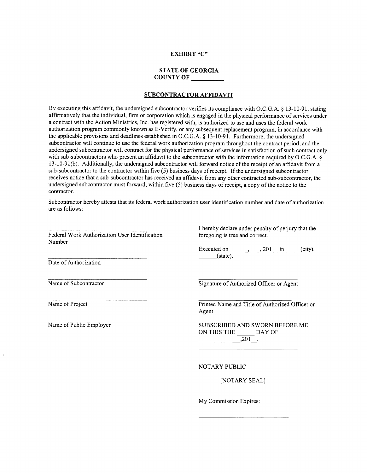### EXHIBIT "C"

#### STATE OF GEORGIA COUNTY OF

### SUBCONTRACTOR AFFIDAVIT

By executing this affidavit, the undersigned subcontractor verifies its compliance with O.C.G.A. § 13-10-91, stating affirmatively that the individual, firm or corporation which is engaged in the physical performance of services under a contract with the Action Ministries, Inc. has registered with, is authorized to use and uses the federal work authorization program commonly known as E-Verify, or any subsequent replacement program, in accordance with the applicable provisions and deadlines established in O.C.G.A. § 13-10-91. Furthermore, the undersigned subcontractor will continue to use the federal work authorization program throughout the contract period, and the undersigned subcontractor will contract for the physical performance of services in satisfaction of such contract only with sub-subcontractors who present an affidavit to the subcontractor with the information required by O.C.G.A. § 13- 10- 91( b). Additionally, the undersigned subcontractor will forward notice of the receipt of an affidavit from <sup>a</sup> sub-subcontractor to the contractor within five (5) business days of receipt. If the undersigned subcontractor receives notice that a sub-subcontractor has received an affidavit from any other contracted sub-subcontractor, the undersigned subcontractor must forward, within five( 5) business days of receipt, <sup>a</sup> copy of the notice to the contractor.

Subcontractor hereby attests that its federal work authorization user identification number and date of authorization are as follows:

Federal Work Authorization User Identification Number

I hereby declare under penalty of perjury that the

Executed on  $\_\_\_\,,\_\_\_$  201 $\_\_\$  in  $\_\_\_$ ( city), state).

Date of Authorization

Name of Subcontractor Signature of Authorized Officer or Agent

Name of Project **Princed Name and Title of Authorized Officer or** Printed Name and Title of Authorized Officer or Agent

Name of Public Employer SUBSCRIBED AND SWORN BEFORE ME ON THIS THE DAY OF  $,201$ .

NOTARY PUBLIC

NOTARY SEAL]

My Commission Expires: